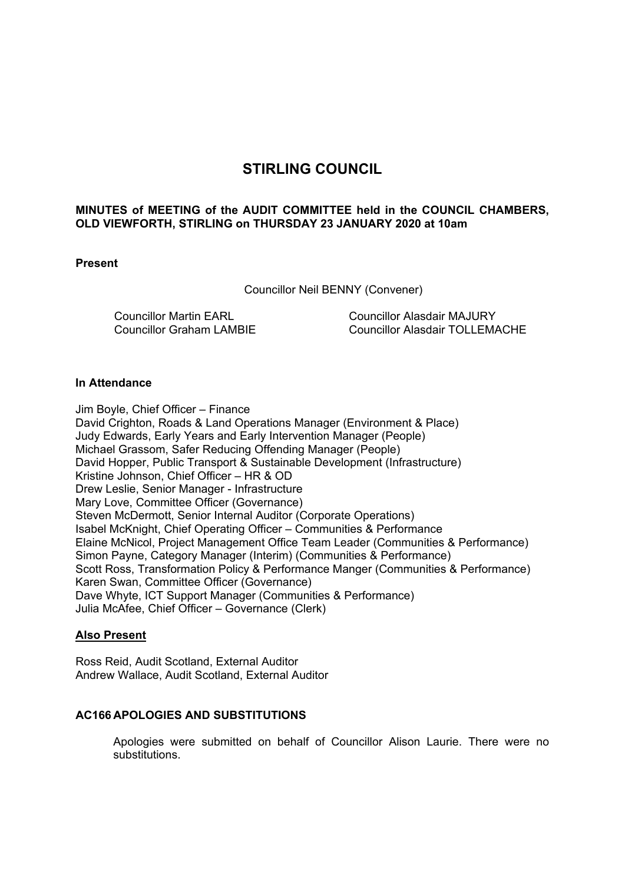# **STIRLING COUNCIL**

# **MINUTES of MEETING of the AUDIT COMMITTEE held in the COUNCIL CHAMBERS, OLD VIEWFORTH, STIRLING on THURSDAY 23 JANUARY 2020 at 10am**

# **Present**

Councillor Neil BENNY (Convener)

Councillor Martin EARL Councillor Graham LAMBIE Councillor Alasdair MAJURY Councillor Alasdair TOLLEMACHE

### **In Attendance**

Jim Boyle, Chief Officer – Finance David Crighton, Roads & Land Operations Manager (Environment & Place) Judy Edwards, Early Years and Early Intervention Manager (People) Michael Grassom, Safer Reducing Offending Manager (People) David Hopper, Public Transport & Sustainable Development (Infrastructure) Kristine Johnson, Chief Officer – HR & OD Drew Leslie, Senior Manager - Infrastructure Mary Love, Committee Officer (Governance) Steven McDermott, Senior Internal Auditor (Corporate Operations) Isabel McKnight, Chief Operating Officer – Communities & Performance Elaine McNicol, Project Management Office Team Leader (Communities & Performance) Simon Payne, Category Manager (Interim) (Communities & Performance) Scott Ross, Transformation Policy & Performance Manger (Communities & Performance) Karen Swan, Committee Officer (Governance) Dave Whyte, ICT Support Manager (Communities & Performance) Julia McAfee, Chief Officer – Governance (Clerk)

### **Also Present**

Ross Reid, Audit Scotland, External Auditor Andrew Wallace, Audit Scotland, External Auditor

# **AC166 APOLOGIES AND SUBSTITUTIONS**

Apologies were submitted on behalf of Councillor Alison Laurie. There were no substitutions.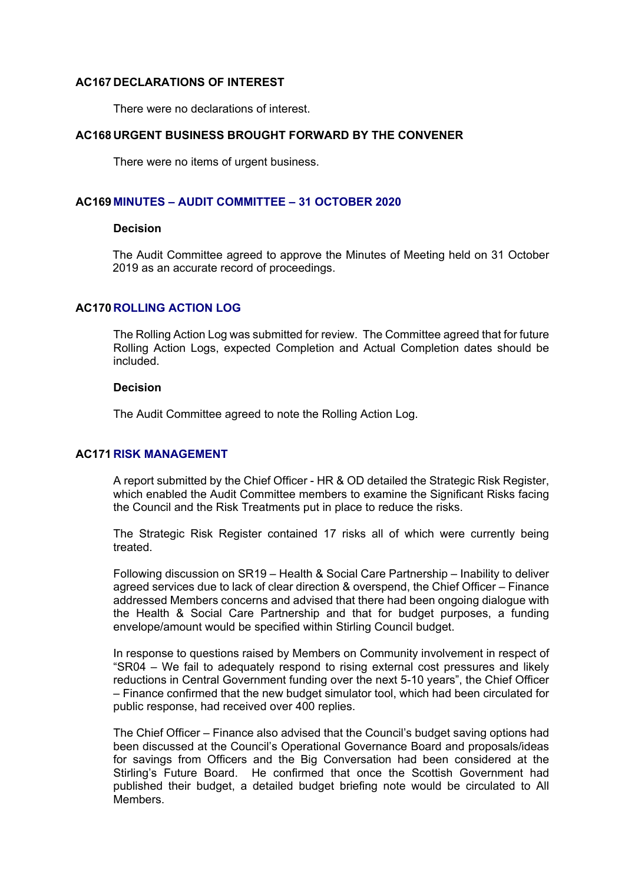#### **AC167 DECLARATIONS OF INTEREST**

There were no declarations of interest.

# **AC168 URGENT BUSINESS BROUGHT FORWARD BY THE CONVENER**

There were no items of urgent business.

# **AC169 MINUTES – AUDIT COMMITTEE – 31 OCTOBER 2020**

#### **Decision**

The Audit Committee agreed to approve the Minutes of Meeting held on 31 October 2019 as an accurate record of proceedings.

# **AC170 ROLLING ACTION LOG**

The Rolling Action Log was submitted for review. The Committee agreed that for future Rolling Action Logs, expected Completion and Actual Completion dates should be included.

### **Decision**

The Audit Committee agreed to note the Rolling Action Log.

# **AC171 RISK MANAGEMENT**

A report submitted by the Chief Officer - HR & OD detailed the Strategic Risk Register, which enabled the Audit Committee members to examine the Significant Risks facing the Council and the Risk Treatments put in place to reduce the risks.

The Strategic Risk Register contained 17 risks all of which were currently being treated.

Following discussion on SR19 – Health & Social Care Partnership – Inability to deliver agreed services due to lack of clear direction & overspend, the Chief Officer – Finance addressed Members concerns and advised that there had been ongoing dialogue with the Health & Social Care Partnership and that for budget purposes, a funding envelope/amount would be specified within Stirling Council budget.

In response to questions raised by Members on Community involvement in respect of "SR04 – We fail to adequately respond to rising external cost pressures and likely reductions in Central Government funding over the next 5-10 years", the Chief Officer – Finance confirmed that the new budget simulator tool, which had been circulated for public response, had received over 400 replies.

The Chief Officer – Finance also advised that the Council's budget saving options had been discussed at the Council's Operational Governance Board and proposals/ideas for savings from Officers and the Big Conversation had been considered at the Stirling's Future Board. He confirmed that once the Scottish Government had published their budget, a detailed budget briefing note would be circulated to All Members.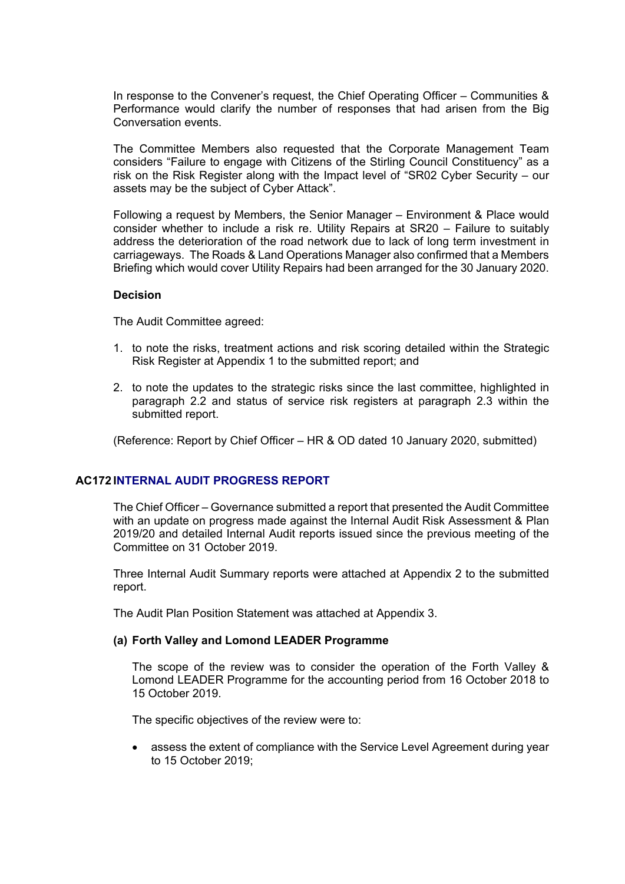In response to the Convener's request, the Chief Operating Officer – Communities & Performance would clarify the number of responses that had arisen from the Big Conversation events.

The Committee Members also requested that the Corporate Management Team considers "Failure to engage with Citizens of the Stirling Council Constituency" as a risk on the Risk Register along with the Impact level of "SR02 Cyber Security – our assets may be the subject of Cyber Attack".

Following a request by Members, the Senior Manager – Environment & Place would consider whether to include a risk re. Utility Repairs at SR20 – Failure to suitably address the deterioration of the road network due to lack of long term investment in carriageways. The Roads & Land Operations Manager also confirmed that a Members Briefing which would cover Utility Repairs had been arranged for the 30 January 2020.

#### **Decision**

The Audit Committee agreed:

- 1. to note the risks, treatment actions and risk scoring detailed within the Strategic Risk Register at Appendix 1 to the submitted report; and
- 2. to note the updates to the strategic risks since the last committee, highlighted in paragraph 2.2 and status of service risk registers at paragraph 2.3 within the submitted report.

(Reference: Report by Chief Officer – HR & OD dated 10 January 2020, submitted)

### **AC172 INTERNAL AUDIT PROGRESS REPORT**

The Chief Officer – Governance submitted a report that presented the Audit Committee with an update on progress made against the Internal Audit Risk Assessment & Plan 2019/20 and detailed Internal Audit reports issued since the previous meeting of the Committee on 31 October 2019.

Three Internal Audit Summary reports were attached at Appendix 2 to the submitted report.

The Audit Plan Position Statement was attached at Appendix 3.

### **(a) Forth Valley and Lomond LEADER Programme**

The scope of the review was to consider the operation of the Forth Valley & Lomond LEADER Programme for the accounting period from 16 October 2018 to 15 October 2019.

The specific objectives of the review were to:

 assess the extent of compliance with the Service Level Agreement during year to 15 October 2019;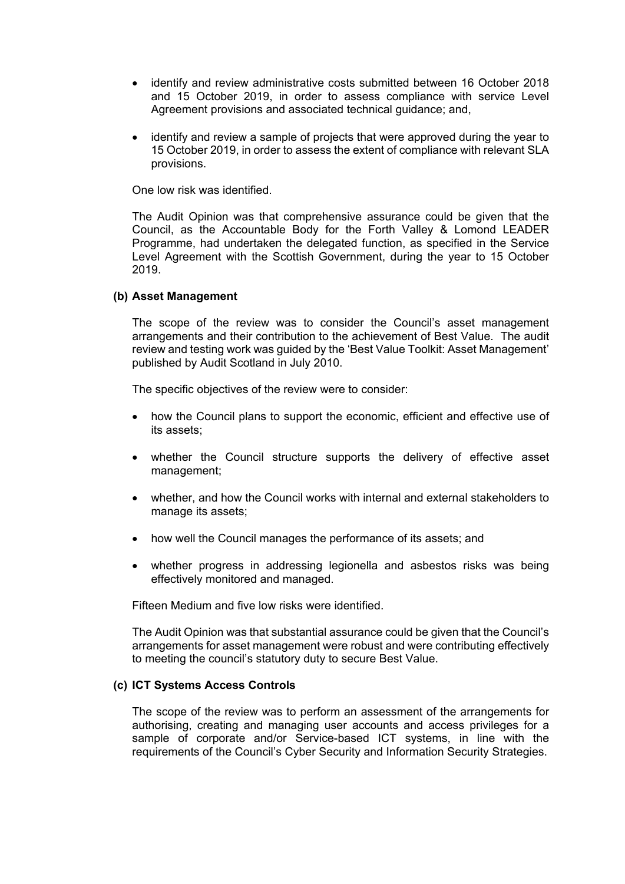- identify and review administrative costs submitted between 16 October 2018 and 15 October 2019, in order to assess compliance with service Level Agreement provisions and associated technical guidance; and,
- identify and review a sample of projects that were approved during the year to 15 October 2019, in order to assess the extent of compliance with relevant SLA provisions.

One low risk was identified.

The Audit Opinion was that comprehensive assurance could be given that the Council, as the Accountable Body for the Forth Valley & Lomond LEADER Programme, had undertaken the delegated function, as specified in the Service Level Agreement with the Scottish Government, during the year to 15 October 2019.

### **(b) Asset Management**

The scope of the review was to consider the Council's asset management arrangements and their contribution to the achievement of Best Value. The audit review and testing work was guided by the 'Best Value Toolkit: Asset Management' published by Audit Scotland in July 2010.

The specific objectives of the review were to consider:

- how the Council plans to support the economic, efficient and effective use of its assets;
- whether the Council structure supports the delivery of effective asset management;
- whether, and how the Council works with internal and external stakeholders to manage its assets;
- how well the Council manages the performance of its assets; and
- whether progress in addressing legionella and asbestos risks was being effectively monitored and managed.

Fifteen Medium and five low risks were identified.

The Audit Opinion was that substantial assurance could be given that the Council's arrangements for asset management were robust and were contributing effectively to meeting the council's statutory duty to secure Best Value.

# **(c) ICT Systems Access Controls**

The scope of the review was to perform an assessment of the arrangements for authorising, creating and managing user accounts and access privileges for a sample of corporate and/or Service-based ICT systems, in line with the requirements of the Council's Cyber Security and Information Security Strategies.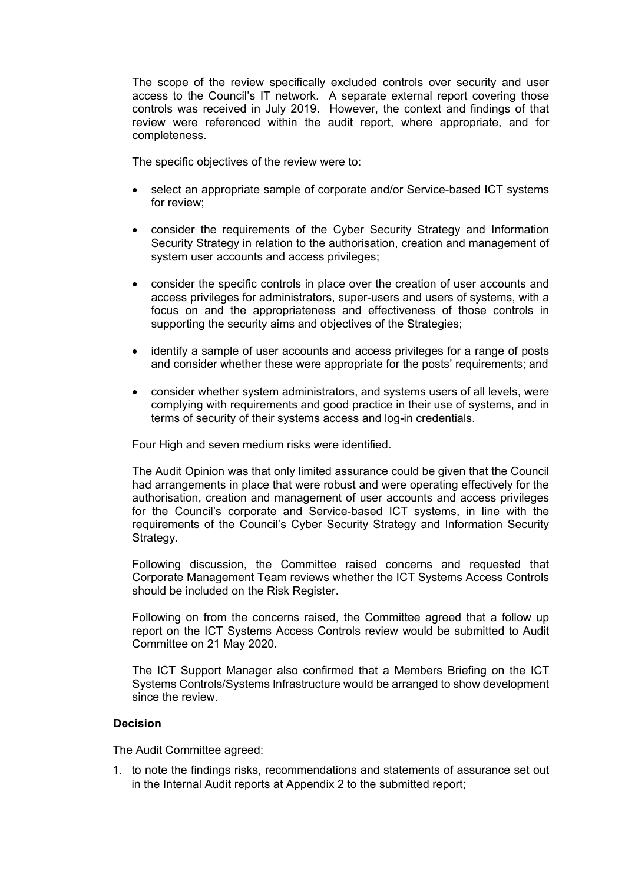The scope of the review specifically excluded controls over security and user access to the Council's IT network. A separate external report covering those controls was received in July 2019. However, the context and findings of that review were referenced within the audit report, where appropriate, and for completeness.

The specific objectives of the review were to:

- select an appropriate sample of corporate and/or Service-based ICT systems for review;
- consider the requirements of the Cyber Security Strategy and Information Security Strategy in relation to the authorisation, creation and management of system user accounts and access privileges;
- consider the specific controls in place over the creation of user accounts and access privileges for administrators, super-users and users of systems, with a focus on and the appropriateness and effectiveness of those controls in supporting the security aims and objectives of the Strategies;
- identify a sample of user accounts and access privileges for a range of posts and consider whether these were appropriate for the posts' requirements; and
- consider whether system administrators, and systems users of all levels, were complying with requirements and good practice in their use of systems, and in terms of security of their systems access and log-in credentials.

Four High and seven medium risks were identified.

The Audit Opinion was that only limited assurance could be given that the Council had arrangements in place that were robust and were operating effectively for the authorisation, creation and management of user accounts and access privileges for the Council's corporate and Service-based ICT systems, in line with the requirements of the Council's Cyber Security Strategy and Information Security Strategy.

Following discussion, the Committee raised concerns and requested that Corporate Management Team reviews whether the ICT Systems Access Controls should be included on the Risk Register.

Following on from the concerns raised, the Committee agreed that a follow up report on the ICT Systems Access Controls review would be submitted to Audit Committee on 21 May 2020.

The ICT Support Manager also confirmed that a Members Briefing on the ICT Systems Controls/Systems Infrastructure would be arranged to show development since the review.

### **Decision**

The Audit Committee agreed:

1. to note the findings risks, recommendations and statements of assurance set out in the Internal Audit reports at Appendix 2 to the submitted report;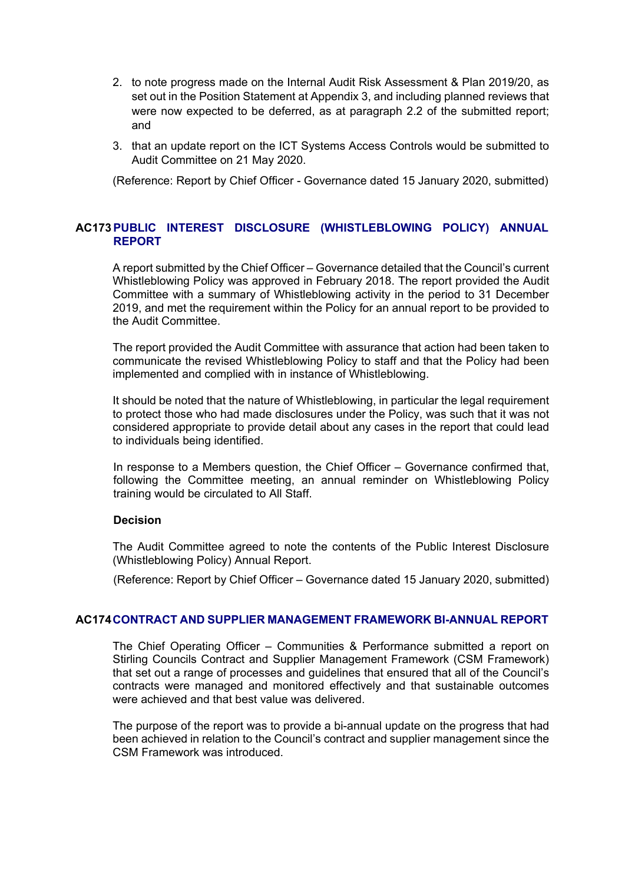- 2. to note progress made on the Internal Audit Risk Assessment & Plan 2019/20, as set out in the Position Statement at Appendix 3, and including planned reviews that were now expected to be deferred, as at paragraph 2.2 of the submitted report; and
- 3. that an update report on the ICT Systems Access Controls would be submitted to Audit Committee on 21 May 2020.

(Reference: Report by Chief Officer - Governance dated 15 January 2020, submitted)

# **AC173 PUBLIC INTEREST DISCLOSURE (WHISTLEBLOWING POLICY) ANNUAL REPORT**

A report submitted by the Chief Officer – Governance detailed that the Council's current Whistleblowing Policy was approved in February 2018. The report provided the Audit Committee with a summary of Whistleblowing activity in the period to 31 December 2019, and met the requirement within the Policy for an annual report to be provided to the Audit Committee.

The report provided the Audit Committee with assurance that action had been taken to communicate the revised Whistleblowing Policy to staff and that the Policy had been implemented and complied with in instance of Whistleblowing.

It should be noted that the nature of Whistleblowing, in particular the legal requirement to protect those who had made disclosures under the Policy, was such that it was not considered appropriate to provide detail about any cases in the report that could lead to individuals being identified.

In response to a Members question, the Chief Officer – Governance confirmed that, following the Committee meeting, an annual reminder on Whistleblowing Policy training would be circulated to All Staff.

### **Decision**

The Audit Committee agreed to note the contents of the Public Interest Disclosure (Whistleblowing Policy) Annual Report.

(Reference: Report by Chief Officer – Governance dated 15 January 2020, submitted)

# **AC174 CONTRACT AND SUPPLIER MANAGEMENT FRAMEWORK BI-ANNUAL REPORT**

The Chief Operating Officer – Communities & Performance submitted a report on Stirling Councils Contract and Supplier Management Framework (CSM Framework) that set out a range of processes and guidelines that ensured that all of the Council's contracts were managed and monitored effectively and that sustainable outcomes were achieved and that best value was delivered.

The purpose of the report was to provide a bi-annual update on the progress that had been achieved in relation to the Council's contract and supplier management since the CSM Framework was introduced.